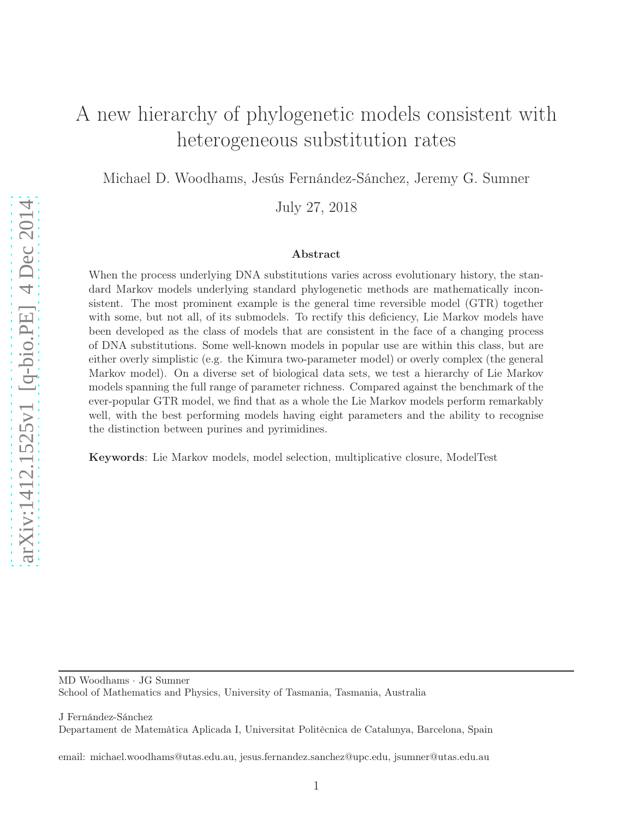# A new hierarchy of phylogenetic models consistent with heterogeneous substitution rates

Michael D. Woodhams, Jesús Fernández-Sánchez, Jeremy G. Sumner

July 27, 2018

#### Abstract

When the process underlying DNA substitutions varies across evolutionary history, the standard Markov models underlying standard phylogenetic methods are mathematically inconsistent. The most prominent example is the general time reversible model (GTR) together with some, but not all, of its submodels. To rectify this deficiency, Lie Markov models have been developed as the class of models that are consistent in the face of a changing process of DNA substitutions. Some well-known models in popular use are within this class, but are either overly simplistic (e.g. the Kimura two-parameter model) or overly complex (the general Markov model). On a diverse set of biological data sets, we test a hierarchy of Lie Markov models spanning the full range of parameter richness. Compared against the benchmark of the ever-popular GTR model, we find that as a whole the Lie Markov models perform remarkably well, with the best performing models having eight parameters and the ability to recognise the distinction between purines and pyrimidines.

Keywords: Lie Markov models, model selection, multiplicative closure, ModelTest

School of Mathematics and Physics, University of Tasmania, Tasmania, Australia

J Fernández-Sánchez

Departament de Matemàtica Aplicada I, Universitat Politècnica de Catalunya, Barcelona, Spain

email: michael.woodhams@utas.edu.au, jesus.fernandez.sanchez@upc.edu, jsumner@utas.edu.au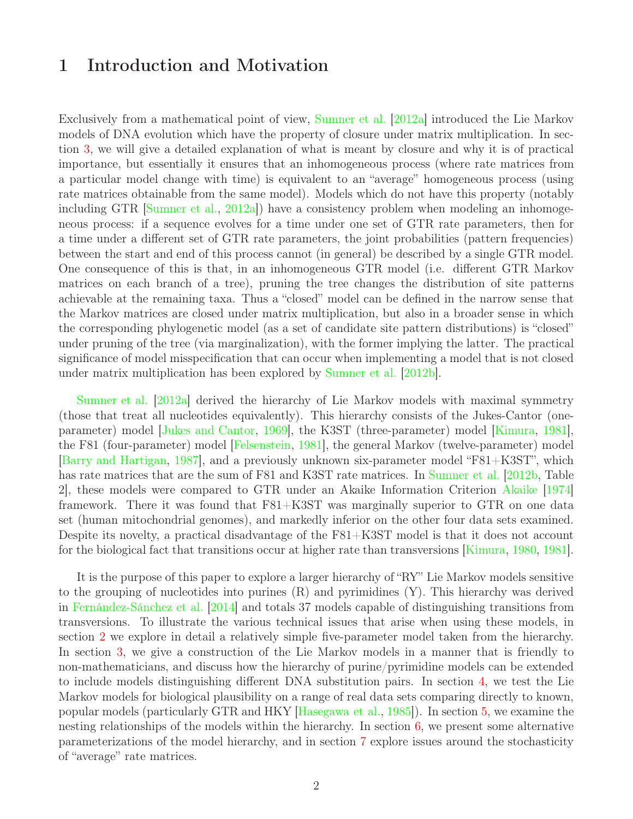### 1 Introduction and Motivation

Exclusively from a mathematical point of view, [Sumner et al.](#page-18-0) [\[2012a](#page-18-0)] introduced the Lie Markov models of DNA evolution which have the property of closure under matrix multiplication. In section [3,](#page-3-0) we will give a detailed explanation of what is meant by closure and why it is of practical importance, but essentially it ensures that an inhomogeneous process (where rate matrices from a particular model change with time) is equivalent to an "average" homogeneous process (using rate matrices obtainable from the same model). Models which do not have this property (notably including GTR [\[Sumner et al.](#page-18-0), [2012a](#page-18-0)]) have a consistency problem when modeling an inhomogeneous process: if a sequence evolves for a time under one set of GTR rate parameters, then for a time under a different set of GTR rate parameters, the joint probabilities (pattern frequencies) between the start and end of this process cannot (in general) be described by a single GTR model. One consequence of this is that, in an inhomogeneous GTR model (i.e. different GTR Markov matrices on each branch of a tree), pruning the tree changes the distribution of site patterns achievable at the remaining taxa. Thus a "closed" model can be defined in the narrow sense that the Markov matrices are closed under matrix multiplication, but also in a broader sense in which the corresponding phylogenetic model (as a set of candidate site pattern distributions) is "closed" under pruning of the tree (via marginalization), with the former implying the latter. The practical significance of model misspecification that can occur when implementing a model that is not closed under matrix multiplication has been explored by [Sumner et al.](#page-19-0) [\[2012b\]](#page-19-0).

[Sumner et al.](#page-18-0) [\[2012a](#page-18-0)] derived the hierarchy of Lie Markov models with maximal symmetry (those that treat all nucleotides equivalently). This hierarchy consists of the Jukes-Cantor (oneparameter) model [\[Jukes and Cantor,](#page-18-1) [1969](#page-18-1)], the K3ST (three-parameter) model [\[Kimura,](#page-18-2) [1981\]](#page-18-2), the F81 (four-parameter) model [\[Felsenstein](#page-17-0), [1981\]](#page-17-0), the general Markov (twelve-parameter) model [\[Barry and Hartigan](#page-17-1), [1987](#page-17-1)], and a previously unknown six-parameter model "F81+K3ST", which has rate matrices that are the sum of F81 and K3ST rate matrices. In [Sumner et al.](#page-19-0) [\[2012b](#page-19-0), Table 2], these models were compared to GTR under an Akaike Information Criterion [Akaike](#page-17-2) [\[1974](#page-17-2)] framework. There it was found that F81+K3ST was marginally superior to GTR on one data set (human mitochondrial genomes), and markedly inferior on the other four data sets examined. Despite its novelty, a practical disadvantage of the F81+K3ST model is that it does not account for the biological fact that transitions occur at higher rate than transversions [\[Kimura](#page-18-3), [1980](#page-18-3), [1981\]](#page-18-2).

It is the purpose of this paper to explore a larger hierarchy of "RY" Lie Markov models sensitive to the grouping of nucleotides into purines (R) and pyrimidines (Y). This hierarchy was derived in [Fernández-Sánchez et al.](#page-17-3) [\[2014](#page-17-3)] and totals 37 models capable of distinguishing transitions from transversions. To illustrate the various technical issues that arise when using these models, in section [2](#page-2-0) we explore in detail a relatively simple five-parameter model taken from the hierarchy. In section [3,](#page-3-0) we give a construction of the Lie Markov models in a manner that is friendly to non-mathematicians, and discuss how the hierarchy of purine/pyrimidine models can be extended to include models distinguishing different DNA substitution pairs. In section [4,](#page-6-0) we test the Lie Markov models for biological plausibility on a range of real data sets comparing directly to known, popular models (particularly GTR and HKY [\[Hasegawa et al.](#page-18-4), [1985\]](#page-18-4)). In section [5,](#page-9-0) we examine the nesting relationships of the models within the hierarchy. In section [6,](#page-11-0) we present some alternative parameterizations of the model hierarchy, and in section [7](#page-14-0) explore issues around the stochasticity of "average" rate matrices.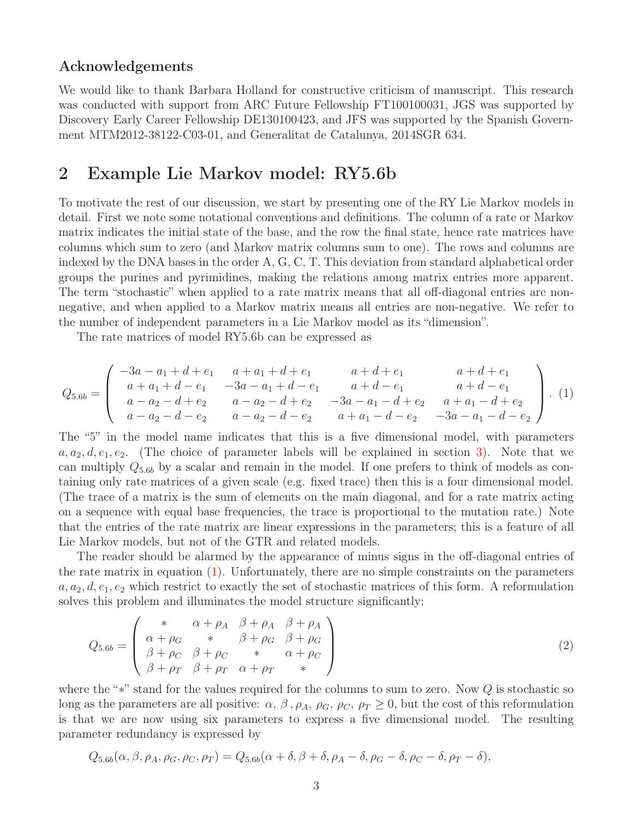#### Acknowledgements

We would like to thank Barbara Holland for constructive criticism of manuscript. This research was conducted with support from ARC Future Fellowship FT100100031, JGS was supported by Discovery Early Career Fellowship DE130100423, and JFS was supported by the Spanish Government MTM2012-38122-C03-01, and Generalitat de Catalunya, 2014SGR 634.

### <span id="page-2-0"></span>2 Example Lie Markov model: RY5.6b

To motivate the rest of our discussion, we start by presenting one of the RY Lie Markov models in detail. First we note some notational conventions and definitions. The column of a rate or Markov matrix indicates the initial state of the base, and the row the final state, hence rate matrices have columns which sum to zero (and Markov matrix columns sum to one). The rows and columns are indexed by the DNA bases in the order A, G, C, T. This deviation from standard alphabetical order groups the purines and pyrimidines, making the relations among matrix entries more apparent. The term "stochastic" when applied to a rate matrix means that all off-diagonal entries are nonnegative, and when applied to a Markov matrix means all entries are non-negative. We refer to the number of independent parameters in a Lie Markov model as its "dimension".

<span id="page-2-1"></span>The rate matrices of model RY5.6b can be expressed as

$$
Q_{5.6b} = \begin{pmatrix} -3a - a_1 + d + e_1 & a + a_1 + d + e_1 & a + d + e_1 & a + d + e_1 \\ a + a_1 + d - e_1 & -3a - a_1 + d - e_1 & a + d - e_1 & a + d - e_1 \\ a - a_2 - d + e_2 & a - a_2 - d + e_2 & -3a - a_1 - d + e_2 & a + a_1 - d + e_2 \\ a - a_2 - d - e_2 & a - a_2 - d - e_2 & a + a_1 - d - e_2 & -3a - a_1 - d - e_2 \end{pmatrix}.
$$
 (1)

The "5" in the model name indicates that this is a five dimensional model, with parameters  $a, a_2, d, e_1, e_2$ . (The choice of parameter labels will be explained in section [3\)](#page-3-0). Note that we can multiply  $Q_{5.6b}$  by a scalar and remain in the model. If one prefers to think of models as containing only rate matrices of a given scale (e.g. fixed trace) then this is a four dimensional model. (The trace of a matrix is the sum of elements on the main diagonal, and for a rate matrix acting on a sequence with equal base frequencies, the trace is proportional to the mutation rate.) Note that the entries of the rate matrix are linear expressions in the parameters; this is a feature of all Lie Markov models, but not of the GTR and related models.

The reader should be alarmed by the appearance of minus signs in the off-diagonal entries of the rate matrix in equation [\(1\)](#page-2-1). Unfortunately, there are no simple constraints on the parameters  $a, a_2, d, e_1, e_2$  which restrict to exactly the set of stochastic matrices of this form. A reformulation solves this problem and illuminates the model structure significantly:

<span id="page-2-2"></span>
$$
Q_{5.6b} = \begin{pmatrix} * & \alpha + \rho_A & \beta + \rho_A & \beta + \rho_A \\ \alpha + \rho_G & * & \beta + \rho_G & \beta + \rho_G \\ \beta + \rho_C & \beta + \rho_C & * & \alpha + \rho_C \\ \beta + \rho_T & \beta + \rho_T & \alpha + \rho_T & * \end{pmatrix}
$$
(2)

where the "∗" stand for the values required for the columns to sum to zero. Now Q is stochastic so long as the parameters are all positive:  $\alpha$ ,  $\beta$ ,  $\rho_A$ ,  $\rho_G$ ,  $\rho_T \geq 0$ , but the cost of this reformulation is that we are now using six parameters to express a five dimensional model. The resulting parameter redundancy is expressed by

$$
Q_{5.6b}(\alpha,\beta,\rho_A,\rho_G,\rho_C,\rho_T)=Q_{5.6b}(\alpha+\delta,\beta+\delta,\rho_A-\delta,\rho_G-\delta,\rho_C-\delta,\rho_T-\delta),
$$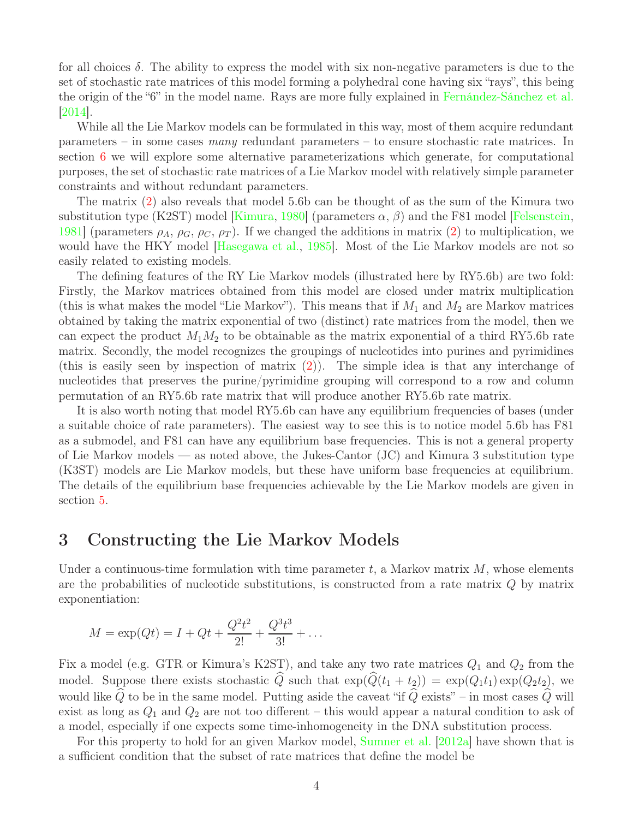for all choices  $\delta$ . The ability to express the model with six non-negative parameters is due to the set of stochastic rate matrices of this model forming a polyhedral cone having six "rays", this being the origin of the "6" in the model name. Rays are more fully explained in [Fernández-Sánchez et al.](#page-17-3) [\[2014](#page-17-3)].

While all the Lie Markov models can be formulated in this way, most of them acquire redundant parameters – in some cases many redundant parameters – to ensure stochastic rate matrices. In section [6](#page-11-0) we will explore some alternative parameterizations which generate, for computational purposes, the set of stochastic rate matrices of a Lie Markov model with relatively simple parameter constraints and without redundant parameters.

The matrix [\(2\)](#page-2-2) also reveals that model 5.6b can be thought of as the sum of the Kimura two substitution type (K2ST) model [\[Kimura](#page-18-3), [1980\]](#page-18-3) (parameters  $\alpha$ ,  $\beta$ ) and the F81 model [\[Felsenstein](#page-17-0), [1981](#page-17-0)] (parameters  $\rho_A$ ,  $\rho_G$ ,  $\rho_C$ ,  $\rho_T$ ). If we changed the additions in matrix [\(2\)](#page-2-2) to multiplication, we would have the HKY model [\[Hasegawa et al.,](#page-18-4) [1985\]](#page-18-4). Most of the Lie Markov models are not so easily related to existing models.

The defining features of the RY Lie Markov models (illustrated here by RY5.6b) are two fold: Firstly, the Markov matrices obtained from this model are closed under matrix multiplication (this is what makes the model "Lie Markov"). This means that if  $M_1$  and  $M_2$  are Markov matrices obtained by taking the matrix exponential of two (distinct) rate matrices from the model, then we can expect the product  $M_1M_2$  to be obtainable as the matrix exponential of a third RY5.6b rate matrix. Secondly, the model recognizes the groupings of nucleotides into purines and pyrimidines (this is easily seen by inspection of matrix [\(2\)](#page-2-2)). The simple idea is that any interchange of nucleotides that preserves the purine/pyrimidine grouping will correspond to a row and column permutation of an RY5.6b rate matrix that will produce another RY5.6b rate matrix.

It is also worth noting that model RY5.6b can have any equilibrium frequencies of bases (under a suitable choice of rate parameters). The easiest way to see this is to notice model 5.6b has F81 as a submodel, and F81 can have any equilibrium base frequencies. This is not a general property of Lie Markov models — as noted above, the Jukes-Cantor (JC) and Kimura 3 substitution type (K3ST) models are Lie Markov models, but these have uniform base frequencies at equilibrium. The details of the equilibrium base frequencies achievable by the Lie Markov models are given in section [5.](#page-9-0)

### <span id="page-3-0"></span>3 Constructing the Lie Markov Models

Under a continuous-time formulation with time parameter t, a Markov matrix  $M$ , whose elements are the probabilities of nucleotide substitutions, is constructed from a rate matrix  $Q$  by matrix exponentiation:

$$
M = \exp(Qt) = I + Qt + \frac{Q^2t^2}{2!} + \frac{Q^3t^3}{3!} + \dots
$$

Fix a model (e.g. GTR or Kimura's K2ST), and take any two rate matrices  $Q_1$  and  $Q_2$  from the model. Suppose there exists stochastic  $\widehat{Q}$  such that  $\exp(\widehat{Q}(t_1 + t_2)) = \exp(Q_1t_1) \exp(Q_2t_2)$ , we would like  $\widehat{Q}$  to be in the same model. Putting aside the caveat "if  $\widehat{Q}$  exists" – in most cases  $\widehat{Q}$  will exist as long as  $Q_1$  and  $Q_2$  are not too different – this would appear a natural condition to ask of a model, especially if one expects some time-inhomogeneity in the DNA substitution process.

For this property to hold for an given Markov model, [Sumner et al.](#page-18-0) [\[2012a\]](#page-18-0) have shown that is a sufficient condition that the subset of rate matrices that define the model be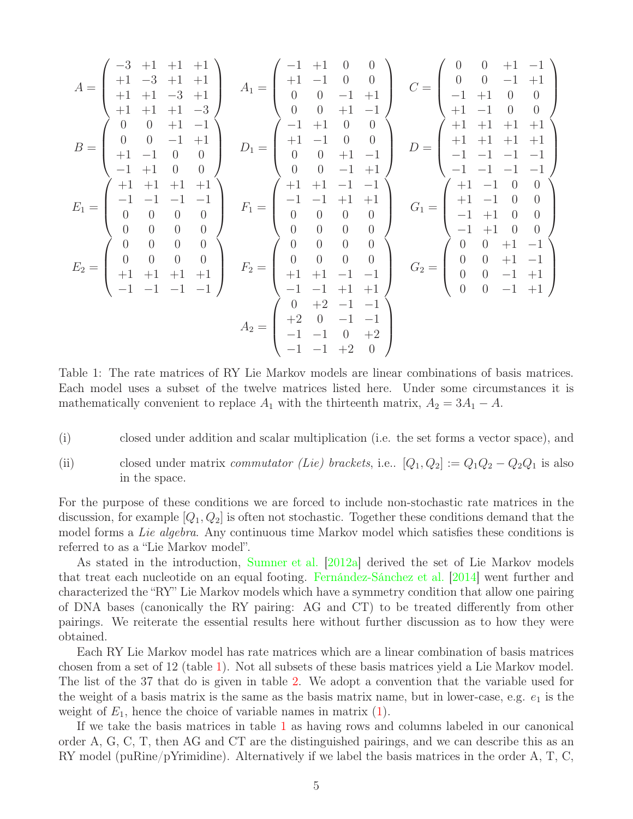$$
A = \begin{pmatrix} -3 & +1 & +1 & +1 \\ +1 & -3 & +1 & +1 \\ +1 & +1 & -3 & +1 \\ +1 & +1 & +1 & -3 \end{pmatrix} \quad A_1 = \begin{pmatrix} -1 & +1 & 0 & 0 \\ +1 & -1 & 0 & 0 \\ 0 & 0 & -1 & +1 \\ 0 & 0 & +1 & -1 \\ 0 & 0 & +1 & -1 \\ -1 & +1 & 0 & 0 \\ -1 & +1 & 0 & 0 \end{pmatrix} \quad D_1 = \begin{pmatrix} -1 & +1 & 0 & 0 \\ +1 & -1 & 0 & 0 \\ 0 & 0 & +1 & -1 \\ 0 & 0 & +1 & -1 \\ 0 & 0 & -1 & +1 \\ 0 & 0 & -1 & +1 \end{pmatrix} \quad D = \begin{pmatrix} 0 & 0 & +1 & -1 \\ 0 & 0 & -1 & +1 \\ +1 & +1 & 0 & 0 \\ -1 & +1 & 0 & 0 \\ -1 & -1 & -1 & -1 \\ -1 & -1 & -1 & -1 \end{pmatrix}
$$
  
\n
$$
E_2 = \begin{pmatrix} 0 & 0 & 0 & 0 \\ -1 & -1 & -1 & -1 \\ 0 & 0 & 0 & 0 \\ 0 & 0 & 0 & 0 \\ 0 & 0 & 0 & 0 \\ -1 & -1 & -1 & -1 \end{pmatrix} \quad E_2 = \begin{pmatrix} 0 & 0 & 0 & 0 \\ 0 & 0 & -1 & +1 \\ 0 & 0 & 0 & 0 \\ 0 & 0 & 0 & 0 \\ 0 & 0 & 0 & 0 \\ -1 & -1 & +1 & +1 \\ -1 & -1 & -1 & -1 \end{pmatrix} \quad G_2 = \begin{pmatrix} 0 & 0 & +1 & -1 \\ 0 & 0 & +1 & -1 \\ 0 & 0 & +1 & -1 \\ 0 & 0 & -1 & +1 \\ 0 & 0 & -1 & +1 \\ 0 & 0 & -1 & +1 \end{pmatrix}
$$
  
\n
$$
A_2 = \begin{pmatrix} 0 & +2 & -1 & -1 \\ +2 & 0 & -1 & -1 \\ -1 & -1 & 0 & +2 \\ -1 & -1 & +2 & 0 \end{pmatrix}
$$

<span id="page-4-0"></span>Table 1: The rate matrices of RY Lie Markov models are linear combinations of basis matrices. Each model uses a subset of the twelve matrices listed here. Under some circumstances it is mathematically convenient to replace  $A_1$  with the thirteenth matrix,  $A_2 = 3A_1 - A$ .

- (i) closed under addition and scalar multiplication (i.e. the set forms a vector space), and
- (ii) closed under matrix *commutator (Lie)* brackets, i.e..  $[Q_1, Q_2] := Q_1 Q_2 Q_2 Q_1$  is also in the space.

For the purpose of these conditions we are forced to include non-stochastic rate matrices in the discussion, for example  $[Q_1, Q_2]$  is often not stochastic. Together these conditions demand that the model forms a Lie algebra. Any continuous time Markov model which satisfies these conditions is referred to as a "Lie Markov model".

As stated in the introduction, [Sumner et al.](#page-18-0) [\[2012a](#page-18-0)] derived the set of Lie Markov models that treat each nucleotide on an equal footing. [Fernández-Sánchez et al.](#page-17-3) [\[2014](#page-17-3)] went further and characterized the "RY" Lie Markov models which have a symmetry condition that allow one pairing of DNA bases (canonically the RY pairing: AG and CT) to be treated differently from other pairings. We reiterate the essential results here without further discussion as to how they were obtained.

Each RY Lie Markov model has rate matrices which are a linear combination of basis matrices chosen from a set of 12 (table [1\)](#page-4-0). Not all subsets of these basis matrices yield a Lie Markov model. The list of the 37 that do is given in table [2.](#page-5-0) We adopt a convention that the variable used for the weight of a basis matrix is the same as the basis matrix name, but in lower-case, e.g.  $e_1$  is the weight of  $E_1$ , hence the choice of variable names in matrix  $(1)$ .

If we take the basis matrices in table [1](#page-4-0) as having rows and columns labeled in our canonical order A, G, C, T, then AG and CT are the distinguished pairings, and we can describe this as an RY model (puRine/pYrimidine). Alternatively if we label the basis matrices in the order  $A, T, C$ ,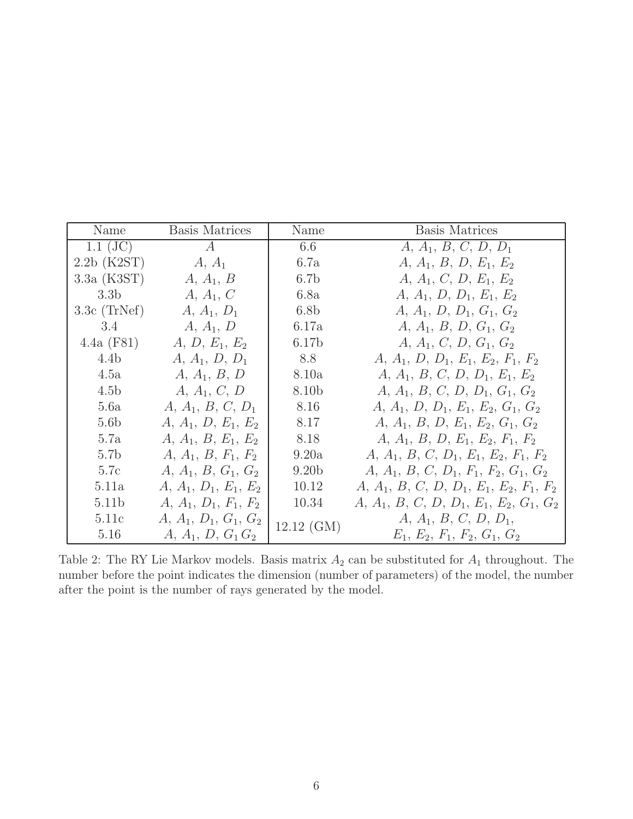| Name               | <b>Basis Matrices</b>   | Name               | Basis Matrices                             |
|--------------------|-------------------------|--------------------|--------------------------------------------|
| $1.1 \text{ (JC)}$ | A                       | 6.6                | $A, A_1, B, C, D, D_1$                     |
| $2.2b$ (K2ST)      | $A, A_1$                | 6.7a               | $A, A_1, B, D, E_1, E_2$                   |
| $3.3a$ (K3ST)      | $A, A_1, B$             | 6.7 <sub>b</sub>   | $A, A_1, C, D, E_1, E_2$                   |
| 3.3 <sub>b</sub>   | $A, A_1, C$             | 6.8a               | $A, A_1, D, D_1, E_1, E_2$                 |
| $3.3c$ (TrNef)     | $A, A_1, D_1$           | 6.8 <sub>b</sub>   | $A, A_1, D, D_1, G_1, G_2$                 |
| 3.4                | $A, A_1, D$             | 6.17a              | $A, A_1, B, D, G_1, G_2$                   |
| 4.4a $(F81)$       | $A, D, E_1, E_2$        | 6.17 <sub>b</sub>  | $A, A_1, C, D, G_1, G_2$                   |
| 4.4 <sub>b</sub>   | $A, A_1, D, D_1$        | 8.8                | $A, A_1, D, D_1, E_1, E_2, F_1, F_2$       |
| 4.5a               | $A, A_1, B, D$          | 8.10a              | $A, A_1, B, C, D, D_1, E_1, E_2$           |
| 4.5 <sub>b</sub>   | $A, A_1, C, D$          | 8.10 <sub>b</sub>  | $A, A_1, B, C, D, D_1, G_1, G_2$           |
| 5.6a               | $A, A_1, B, C, D_1$     | 8.16               | $A, A_1, D, D_1, E_1, E_2, G_1, G_2$       |
| 5.6 <sub>b</sub>   | $A, A_1, D, E_1, E_2$   | 8.17               | $A, A_1, B, D, E_1, E_2, G_1, G_2$         |
| 5.7a               | $A, A_1, B, E_1, E_2$   | 8.18               | $A, A_1, B, D, E_1, E_2, F_1, F_2$         |
| 5.7 <sub>b</sub>   | $A, A_1, B, F_1, F_2$   | 9.20a              | $A, A_1, B, C, D_1, E_1, E_2, F_1, F_2$    |
| 5.7c               | $A, A_1, B, G_1, G_2$   | 9.20 <sub>b</sub>  | $A, A_1, B, C, D_1, F_1, F_2, G_1, G_2$    |
| 5.11a              | $A, A_1, D_1, E_1, E_2$ | 10.12              | $A, A_1, B, C, D, D_1, E_1, E_2, F_1, F_2$ |
| 5.11 <sub>b</sub>  | $A, A_1, D_1, F_1, F_2$ | 10.34              | $A, A_1, B, C, D, D_1, E_1, E_2, G_1, G_2$ |
| 5.11c              | $A, A_1, D_1, G_1, G_2$ |                    | $A, A_1, B, C, D, D_1,$                    |
| 5.16               | $A, A_1, D, G_1 G_2$    | $12.12~({\rm GM})$ | $E_1, E_2, F_1, F_2, G_1, G_2$             |

<span id="page-5-0"></span>Table 2: The RY Lie Markov models. Basis matrix  $A_2$  can be substituted for  $A_1$  throughout. The number before the point indicates the dimension (number of parameters) of the model, the number after the point is the number of rays generated by the model.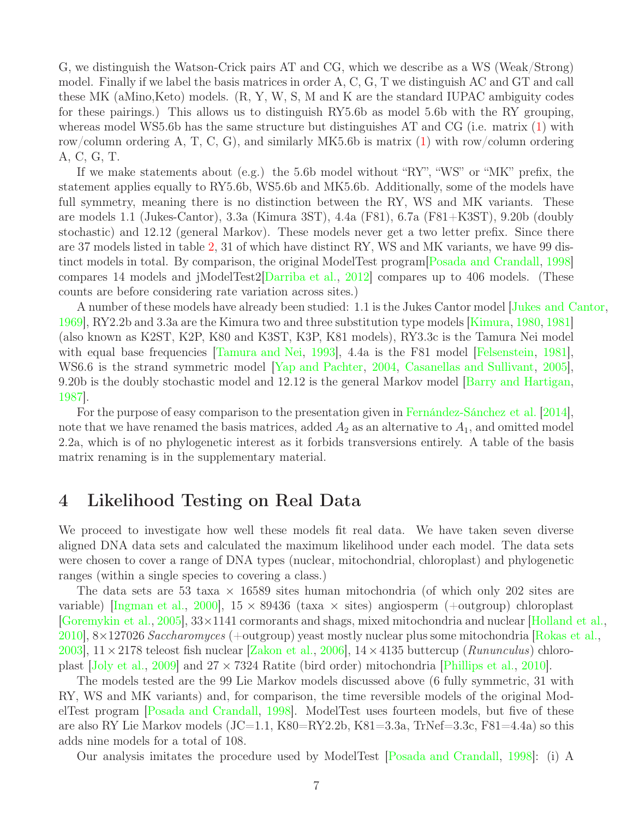G, we distinguish the Watson-Crick pairs AT and CG, which we describe as a WS (Weak/Strong) model. Finally if we label the basis matrices in order A, C, G, T we distinguish AC and GT and call these MK (aMino,Keto) models. (R, Y, W, S, M and K are the standard IUPAC ambiguity codes for these pairings.) This allows us to distinguish RY5.6b as model 5.6b with the RY grouping, whereas model WS5.6b has the same structure but distinguishes AT and CG (i.e. matrix  $(1)$  with row/column ordering A, T, C, G), and similarly MK5.6b is matrix [\(1\)](#page-2-1) with row/column ordering A, C, G, T.

If we make statements about (e.g.) the 5.6b model without "RY", "WS" or "MK" prefix, the statement applies equally to RY5.6b, WS5.6b and MK5.6b. Additionally, some of the models have full symmetry, meaning there is no distinction between the RY, WS and MK variants. These are models 1.1 (Jukes-Cantor), 3.3a (Kimura 3ST), 4.4a (F81), 6.7a (F81+K3ST), 9.20b (doubly stochastic) and 12.12 (general Markov). These models never get a two letter prefix. Since there are 37 models listed in table [2,](#page-5-0) 31 of which have distinct RY, WS and MK variants, we have 99 distinct models in total. By comparison, the original ModelTest program[\[Posada and Crandall](#page-18-5), [1998](#page-18-5)] compares 14 models and jModelTest2[\[Darriba et al.,](#page-17-4) [2012](#page-17-4)] compares up to 406 models. (These counts are before considering rate variation across sites.)

A number of these models have already been studied: 1.1 is the Jukes Cantor model [\[Jukes and Cantor](#page-18-1), [1969](#page-18-1)], RY2.2b and 3.3a are the Kimura two and three substitution type models [\[Kimura](#page-18-3), [1980,](#page-18-3) [1981](#page-18-2)] (also known as K2ST, K2P, K80 and K3ST, K3P, K81 models), RY3.3c is the Tamura Nei model with equal base frequencies [\[Tamura and Nei](#page-19-1), [1993](#page-19-1)], 4.4a is the F81 model [\[Felsenstein,](#page-17-0) [1981\]](#page-17-0), WS6.6 is the strand symmetric model [\[Yap and Pachter](#page-19-2), [2004,](#page-19-2) [Casanellas and Sullivant,](#page-17-5) [2005\]](#page-17-5), 9.20b is the doubly stochastic model and 12.12 is the general Markov model [\[Barry and Hartigan](#page-17-1), [1987](#page-17-1)].

For the purpose of easy comparison to the presentation given in [Fernández-Sánchez et al.](#page-17-3) [\[2014\]](#page-17-3), note that we have renamed the basis matrices, added  $A_2$  as an alternative to  $A_1$ , and omitted model 2.2a, which is of no phylogenetic interest as it forbids transversions entirely. A table of the basis matrix renaming is in the supplementary material.

### <span id="page-6-0"></span>4 Likelihood Testing on Real Data

We proceed to investigate how well these models fit real data. We have taken seven diverse aligned DNA data sets and calculated the maximum likelihood under each model. The data sets were chosen to cover a range of DNA types (nuclear, mitochondrial, chloroplast) and phylogenetic ranges (within a single species to covering a class.)

The data sets are 53 taxa  $\times$  16589 sites human mitochondria (of which only 202 sites are variable) [\[Ingman et al.,](#page-18-6) [2000\]](#page-18-6),  $15 \times 89436$  (taxa  $\times$  sites) angiosperm (+outgroup) chloroplast [\[Goremykin et al.](#page-18-7), [2005\]](#page-18-7), 33×1141 cormorants and shags, mixed mitochondria and nuclear [\[Holland et al.](#page-18-8), [2010](#page-18-8)], 8×127026 Saccharomyces (+outgroup) yeast mostly nuclear plus some mitochondria [\[Rokas et al.](#page-18-9), [2003](#page-18-9),  $11 \times 2178$  teleost fish nuclear [\[Zakon et al.](#page-19-3), [2006](#page-19-3)],  $14 \times 4135$  buttercup (*Rununculus*) chloroplast [\[Joly et al.,](#page-18-10) [2009\]](#page-18-10) and 27 × 7324 Ratite (bird order) mitochondria [\[Phillips et al.,](#page-18-11) [2010](#page-18-11)].

The models tested are the 99 Lie Markov models discussed above (6 fully symmetric, 31 with RY, WS and MK variants) and, for comparison, the time reversible models of the original ModelTest program [\[Posada and Crandall,](#page-18-5) [1998](#page-18-5)]. ModelTest uses fourteen models, but five of these are also RY Lie Markov models  $(JC=1.1, K80=RY2.2b, K81=3.3a, TrNef=3.3c, F81=4.4a)$  so this adds nine models for a total of 108.

Our analysis imitates the procedure used by ModelTest [\[Posada and Crandall,](#page-18-5) [1998\]](#page-18-5): (i) A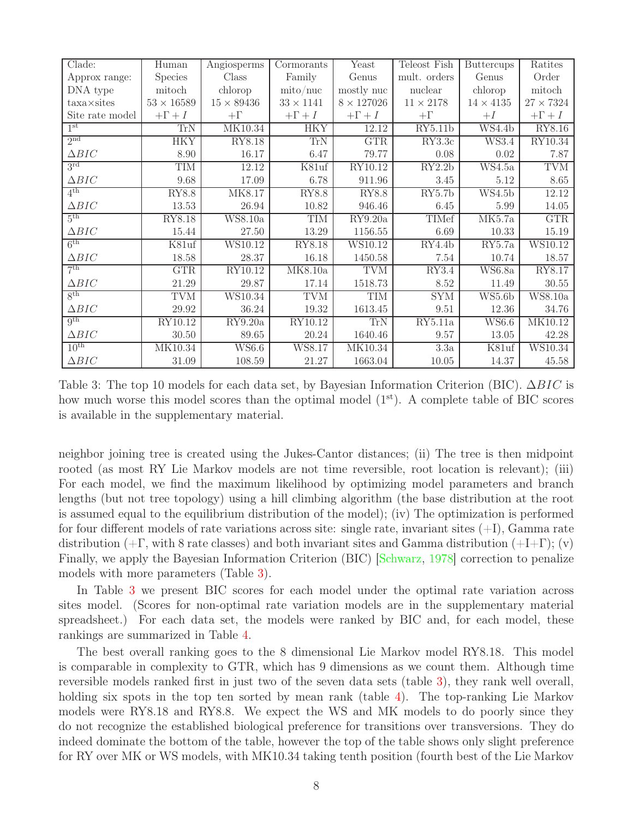| Clade:              | Human           | Angiosperms     | Cormorants                  | $\overline{Y}$ east  | Teleost Fish   | <b>Buttercups</b>          | Ratites              |  |  |
|---------------------|-----------------|-----------------|-----------------------------|----------------------|----------------|----------------------------|----------------------|--|--|
| Approx range:       | <b>Species</b>  | Class           | Family                      | Genus                | mult. orders   | Genus                      | Order                |  |  |
| DNA type            | mitoch          | chlorop         | mito/nuc                    | mostly nuc           | nuclear        | chlorop                    | mitoch               |  |  |
| $taxa \times sites$ | $53\times16589$ | $15\times89436$ | $33\times1141$              | $8 \times 127026$    | $11\times2178$ | $14\times4135$             | $27\times7324$       |  |  |
| Site rate model     | $+\Gamma + I$   | $+\Gamma$       | $+\Gamma + I$               | $+\Gamma + I$        | $+\Gamma$      | $+I$                       | $+\Gamma + I$        |  |  |
| $1^{\rm st}$        | TrN             | MK10.34         | <b>HKY</b>                  | 12.12                | RY5.11b        | WS4.4b                     | <b>RY8.16</b>        |  |  |
| 2 <sup>nd</sup>     | <b>HKY</b>      | <b>RY8.18</b>   | <b>TrN</b>                  | GTR                  | RY3.3c         | WS3.4                      | RY10.34              |  |  |
| $\Delta BIC$        | 8.90            | 16.17           | 6.47                        | 79.77                | 0.08           | 0.02                       | 7.87                 |  |  |
| 3 <sup>rd</sup>     | <b>TIM</b>      | 12.12           | K81uf                       | RY10.12              | RY2.2b         | WS4.5a                     | <b>TVM</b>           |  |  |
| $\Delta BIC$        | 9.68            | 17.09           | 6.78                        | 911.96               | 3.45           | 5.12                       | 8.65                 |  |  |
| $4^{\text{th}}$     | RY8.8           | MK8.17          | RY8.8                       | RY8.8                | RY5.7b         | $\overline{\text{WS4.5b}}$ | 12.12                |  |  |
| $\Delta BIC$        | 13.53           | 26.94           | 10.82                       | 946.46               | 6.45           | 5.99                       | 14.05                |  |  |
| 5 <sup>th</sup>     | <b>RY8.18</b>   | WS8.10a         | <b>TIM</b>                  | $\overline{RY}9.20a$ | <b>TIMef</b>   | MK5.7a                     | $\operatorname{GTR}$ |  |  |
| $\Delta BIC$        | 15.44           | 27.50           | $13.29\,$                   | $1156.55\,$          | 6.69           | 10.33                      | 15.19                |  |  |
| $6^{\text{th}}$     | K81uf           | WS10.12         | <b>RY8.18</b>               | WS10.12              | RY4.4b         | RY5.7a                     | WS10.12              |  |  |
| $\Delta BIC$        | 18.58           | 28.37           | 16.18                       | 1450.58              | 7.54           | 10.74                      | 18.57                |  |  |
| 7 <sup>th</sup>     | GTR             | RY10.12         | $\overline{\text{MK8}}.10a$ | <b>TVM</b>           | RY3.4          | WS6.8a                     | RY8.17               |  |  |
| $\Delta BIC$        | 21.29           | 29.87           | 17.14                       | 1518.73              | 8.52           | 11.49                      | 30.55                |  |  |
| 8 <sup>th</sup>     | <b>TVM</b>      | WS10.34         | <b>TVM</b>                  | <b>TIM</b>           | <b>SYM</b>     | WS5.6b                     | WS8.10a              |  |  |
| $\Delta BIC$        | 29.92           | 36.24           | 19.32                       | 1613.45              | 9.51           | 12.36                      | 34.76                |  |  |
| 9 <sup>th</sup>     | RY10.12         | RY9.20a         | RY10.12                     | <b>TrN</b>           | RY5.11a        | WS6.6                      | MK10.12              |  |  |
| $\Delta BIC$        | 30.50           | 89.65           | 20.24                       | 1640.46              | $9.57\,$       | 13.05                      | 42.28                |  |  |
| $10^{\text{th}}$    | MK10.34         | WS6.6           | WS8.17                      | MK10.34              | 3.3a           | K81uf                      | WS10.34              |  |  |
| $\Delta BIC$        | 31.09           | 108.59          | 21.27                       | 1663.04              | 10.05          | 14.37                      | 45.58                |  |  |

<span id="page-7-0"></span>Table 3: The top 10 models for each data set, by Bayesian Information Criterion (BIC).  $\Delta BIC$  is how much worse this model scores than the optimal model (1<sup>st</sup>). A complete table of BIC scores is available in the supplementary material.

neighbor joining tree is created using the Jukes-Cantor distances; (ii) The tree is then midpoint rooted (as most RY Lie Markov models are not time reversible, root location is relevant); (iii) For each model, we find the maximum likelihood by optimizing model parameters and branch lengths (but not tree topology) using a hill climbing algorithm (the base distribution at the root is assumed equal to the equilibrium distribution of the model); (iv) The optimization is performed for four different models of rate variations across site: single rate, invariant sites  $(+1)$ , Gamma rate distribution  $(+\Gamma,$  with 8 rate classes) and both invariant sites and Gamma distribution  $(+\Gamma, \Gamma)$ ; (v) Finally, we apply the Bayesian Information Criterion (BIC) [\[Schwarz](#page-18-12), [1978\]](#page-18-12) correction to penalize models with more parameters (Table [3\)](#page-7-0).

In Table [3](#page-7-0) we present BIC scores for each model under the optimal rate variation across sites model. (Scores for non-optimal rate variation models are in the supplementary material spreadsheet.) For each data set, the models were ranked by BIC and, for each model, these rankings are summarized in Table [4.](#page-8-0)

The best overall ranking goes to the 8 dimensional Lie Markov model RY8.18. This model is comparable in complexity to GTR, which has 9 dimensions as we count them. Although time reversible models ranked first in just two of the seven data sets (table [3\)](#page-7-0), they rank well overall, holding six spots in the top ten sorted by mean rank (table [4\)](#page-8-0). The top-ranking Lie Markov models were RY8.18 and RY8.8. We expect the WS and MK models to do poorly since they do not recognize the established biological preference for transitions over transversions. They do indeed dominate the bottom of the table, however the top of the table shows only slight preference for RY over MK or WS models, with MK10.34 taking tenth position (fourth best of the Lie Markov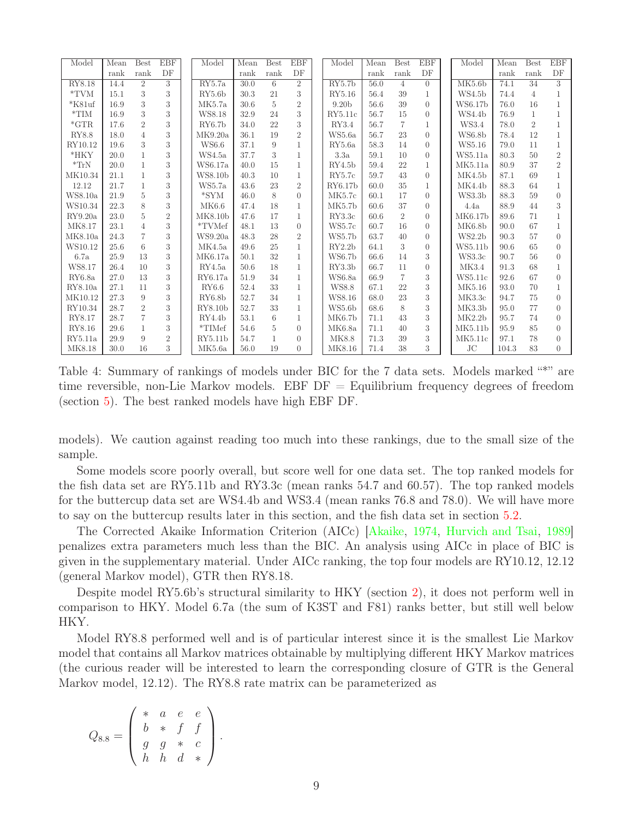| Model         | Mean | <b>Best</b>    | <b>EBF</b>       | Model               | Mean | <b>Best</b> | <b>EBF</b>     | Model               | Mean | <b>Best</b>    | <b>EBF</b> | Model               | Mean  | <b>Best</b>    | <b>EBF</b>     |
|---------------|------|----------------|------------------|---------------------|------|-------------|----------------|---------------------|------|----------------|------------|---------------------|-------|----------------|----------------|
|               | rank | rank           | DF               |                     | rank | rank        | DF             |                     | rank | rank           | DF         |                     | rank  | rank           | DF             |
| <b>RY8.18</b> | 14.4 | $\overline{2}$ | 3                | RY5.7a              | 30.0 | 6           | $\overline{2}$ | RY5.7 <sub>b</sub>  | 56.0 | $\overline{4}$ | $\theta$   | MK5.6 <sub>b</sub>  | 74.1  | 34             | 3              |
| $*TVM$        | 15.1 | 3              | 3                | RY5.6 <sub>b</sub>  | 30.3 | 21          | 3              | RY5.16              | 56.4 | 39             | 1          | WS4.5b              | 74.4  | 4              |                |
| $*K81$ uf     | 16.9 | 3              | 3                | MK5.7a              | 30.6 | 5           | $\overline{2}$ | 9.20 <sub>b</sub>   | 56.6 | 39             | $\theta$   | WS6.17b             | 76.0  | 16             | 1              |
| $*TIM$        | 16.9 | 3              | 3                | WS8.18              | 32.9 | 24          | 3              | RY5.11c             | 56.7 | 15             | $\theta$   | WS4.4b              | 76.9  | 1              |                |
| $*GTR$        | 17.6 | $\mathbf{2}$   | 3                | RY6.7 <sub>b</sub>  | 34.0 | 22          | 3              | RY3.4               | 56.7 | 7              |            | WS3.4               | 78.0  | $\overline{2}$ |                |
| RY8.8         | 18.0 | $\overline{4}$ | 3                | MK9.20a             | 36.1 | 19          | $\overline{2}$ | WS5.6a              | 56.7 | 23             | $\theta$   | WS6.8b              | 78.4  | 12             |                |
| RY10.12       | 19.6 | 3              | 3                | WS6.6               | 37.1 | 9           |                | RY5.6a              | 58.3 | 14             | $\theta$   | WS5.16              | 79.0  | 11             |                |
| $*HKY$        | 20.0 | 1              | 3                | WS4.5a              | 37.7 | 3           |                | 3.3a                | 59.1 | 10             | $\theta$   | WS5.11a             | 80.3  | 50             | $\overline{2}$ |
| $*TrN$        | 20.0 | 1              | 3                | WS6.17a             | 40.0 | 15          |                | RY4.5 <sub>b</sub>  | 59.4 | 22             |            | MK5.11a             | 80.9  | 37             | $\overline{2}$ |
| MK10.34       | 21.1 | 1              | 3                | WS8.10b             | 40.3 | 10          | 1              | RY5.7c              | 59.7 | 43             | $\theta$   | MK4.5 <sub>b</sub>  | 87.1  | 69             |                |
| 12.12         | 21.7 | 1              | 3                | WS5.7a              | 43.6 | 23          | $\overline{2}$ | RY6.17 <sub>b</sub> | 60.0 | 35             |            | MK4.4b              | 88.3  | 64             | 1              |
| WS8.10a       | 21.9 | 5              | 3                | $*SYM$              | 46.0 | 8           | $\Omega$       | MK5.7c              | 60.1 | 17             | $\theta$   | WS3.3b              | 88.3  | 59             | $\Omega$       |
| WS10.34       | 22.3 | 8              | 3                | MK6.6               | 47.4 | 18          |                | MK5.7 <sub>b</sub>  | 60.6 | 37             | $\theta$   | 4.4a                | 88.9  | 44             | 3              |
| RY9.20a       | 23.0 | $\overline{5}$ | $\boldsymbol{2}$ | MK8.10b             | 47.6 | 17          |                | RY3.3c              | 60.6 | $\overline{2}$ | $\theta$   | MK6.17b             | 89.6  | 71             |                |
| MK8.17        | 23.1 | 4              | 3                | $*TVMef$            | 48.1 | 13          | $\Omega$       | WS5.7c              | 60.7 | 16             | $\Omega$   | MK6.8 <sub>b</sub>  | 90.0  | 67             |                |
| MK8.10a       | 24.3 | $\overline{7}$ | 3                | WS9.20a             | 48.3 | 28          | $\overline{2}$ | WS5.7b              | 63.7 | 40             | $\theta$   | WS2.2 <sub>b</sub>  | 90.3  | 57             | $\Omega$       |
| WS10.12       | 25.6 | 6              | 3                | MK4.5a              | 49.6 | 25          |                | RY2.2 <sub>b</sub>  | 64.1 | 3              | $\theta$   | WS5.11b             | 90.6  | 65             | $\Omega$       |
| 6.7a          | 25.9 | 13             | 3                | MK6.17a             | 50.1 | 32          |                | WS6.7b              | 66.6 | 14             | 3          | WS3.3c              | 90.7  | 56             | $\Omega$       |
| WS8.17        | 26.4 | 10             | 3                | RY4.5a              | 50.6 | 18          |                | RY3.3 <sub>b</sub>  | 66.7 | 11             | $\theta$   | MK3.4               | 91.3  | 68             |                |
| RY6.8a        | 27.0 | 13             | 3                | RY6.17a             | 51.9 | 34          | 1              | WS6.8a              | 66.9 | $\overline{7}$ | 3          | WS5.11c             | 92.6  | 67             | $\Omega$       |
| RY8.10a       | 27.1 | 11             | 3                | RY6.6               | 52.4 | 33          | 1              | WS8.8               | 67.1 | 22             | 3          | MK5.16              | 93.0  | 70             | -1             |
| MK10.12       | 27.3 | 9              | 3                | RY6.8 <sub>b</sub>  | 52.7 | 34          |                | WS8.16              | 68.0 | 23             | 3          | MK3.3c              | 94.7  | 75             | $\Omega$       |
| RY10.34       | 28.7 | $\mathbf{2}$   | 3                | RY8.10 <sub>b</sub> | 52.7 | 33          |                | WS5.6b              | 68.6 | 8              | 3          | MK3.3 <sub>b</sub>  | 95.0  | 77             | $\Omega$       |
| RY8.17        | 28.7 | 7              | 3                | RY4.4 <sub>b</sub>  | 53.1 | 6           |                | MK6.7 <sub>b</sub>  | 71.1 | 43             | 3          | MK2.2 <sub>b</sub>  | 95.7  | 74             | $\Omega$       |
| RY8.16        | 29.6 | $\mathbf{1}$   | 3                | $*$ TIMef           | 54.6 | 5           | $\theta$       | MK6.8a              | 71.1 | 40             | 3          | MK5.11 <sub>b</sub> | 95.9  | 85             | $\theta$       |
| RY5.11a       | 29.9 | 9              | $\overline{2}$   | RY5.11b             | 54.7 |             | $\Omega$       | MK8.8               | 71.3 | 39             | 3          | MK5.11c             | 97.1  | 78             | $\Omega$       |
| MK8.18        | 30.0 | 16             | 3                | MK5.6a              | 56.0 | 19          | $\overline{0}$ | MK8.16              | 71.4 | 38             | 3          | $\rm JC$            | 104.3 | 83             | $\overline{0}$ |

<span id="page-8-0"></span>Table 4: Summary of rankings of models under BIC for the 7 data sets. Models marked "\*" are time reversible, non-Lie Markov models. EBF DF = Equilibrium frequency degrees of freedom (section [5\)](#page-9-0). The best ranked models have high EBF DF.

models). We caution against reading too much into these rankings, due to the small size of the sample.

Some models score poorly overall, but score well for one data set. The top ranked models for the fish data set are RY5.11b and RY3.3c (mean ranks 54.7 and 60.57). The top ranked models for the buttercup data set are WS4.4b and WS3.4 (mean ranks 76.8 and 78.0). We will have more to say on the buttercup results later in this section, and the fish data set in section [5.2.](#page-9-1)

The Corrected Akaike Information Criterion (AICc) [\[Akaike,](#page-17-2) [1974](#page-17-2), [Hurvich and Tsai](#page-18-13), [1989](#page-18-13)] penalizes extra parameters much less than the BIC. An analysis using AICc in place of BIC is given in the supplementary material. Under AICc ranking, the top four models are RY10.12, 12.12 (general Markov model), GTR then RY8.18.

Despite model RY5.6b's structural similarity to HKY (section [2\)](#page-2-0), it does not perform well in comparison to HKY. Model 6.7a (the sum of K3ST and F81) ranks better, but still well below HKY.

Model RY8.8 performed well and is of particular interest since it is the smallest Lie Markov model that contains all Markov matrices obtainable by multiplying different HKY Markov matrices (the curious reader will be interested to learn the corresponding closure of GTR is the General Markov model, 12.12). The RY8.8 rate matrix can be parameterized as

$$
Q_{8.8} = \left( \begin{array}{cccc} * & a & e & e \\ b & * & f & f \\ g & g & * & c \\ h & h & d & * \end{array} \right).
$$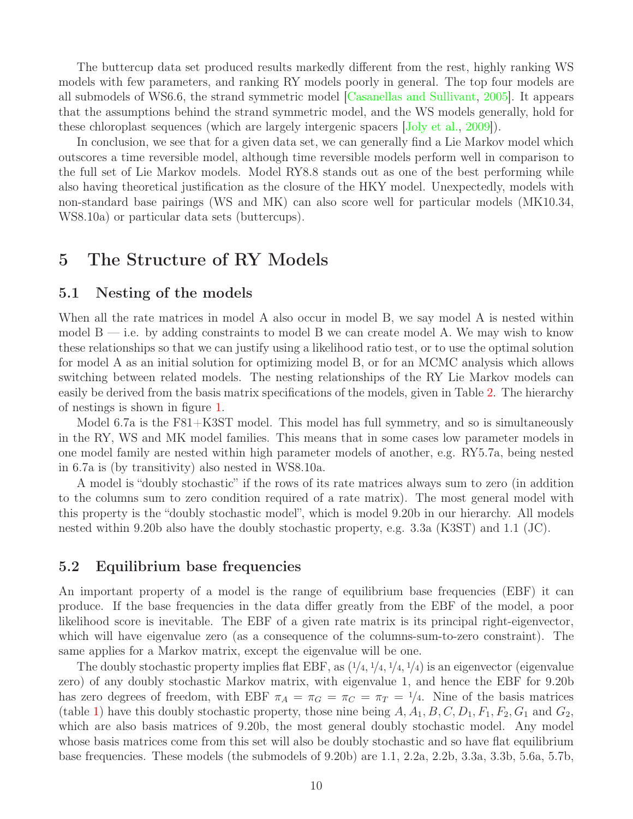The buttercup data set produced results markedly different from the rest, highly ranking WS models with few parameters, and ranking RY models poorly in general. The top four models are all submodels of WS6.6, the strand symmetric model [\[Casanellas and Sullivant,](#page-17-5) [2005\]](#page-17-5). It appears that the assumptions behind the strand symmetric model, and the WS models generally, hold for these chloroplast sequences (which are largely intergenic spacers [\[Joly et al.](#page-18-10), [2009](#page-18-10)]).

In conclusion, we see that for a given data set, we can generally find a Lie Markov model which outscores a time reversible model, although time reversible models perform well in comparison to the full set of Lie Markov models. Model RY8.8 stands out as one of the best performing while also having theoretical justification as the closure of the HKY model. Unexpectedly, models with non-standard base pairings (WS and MK) can also score well for particular models (MK10.34, WS8.10a) or particular data sets (buttercups).

### <span id="page-9-0"></span>5 The Structure of RY Models

#### 5.1 Nesting of the models

When all the rate matrices in model A also occur in model B, we say model A is nested within model  $B$  — i.e. by adding constraints to model B we can create model A. We may wish to know these relationships so that we can justify using a likelihood ratio test, or to use the optimal solution for model A as an initial solution for optimizing model B, or for an MCMC analysis which allows switching between related models. The nesting relationships of the RY Lie Markov models can easily be derived from the basis matrix specifications of the models, given in Table [2.](#page-5-0) The hierarchy of nestings is shown in figure [1.](#page-10-0)

Model 6.7a is the F81+K3ST model. This model has full symmetry, and so is simultaneously in the RY, WS and MK model families. This means that in some cases low parameter models in one model family are nested within high parameter models of another, e.g. RY5.7a, being nested in 6.7a is (by transitivity) also nested in WS8.10a.

A model is "doubly stochastic" if the rows of its rate matrices always sum to zero (in addition to the columns sum to zero condition required of a rate matrix). The most general model with this property is the "doubly stochastic model", which is model 9.20b in our hierarchy. All models nested within 9.20b also have the doubly stochastic property, e.g. 3.3a (K3ST) and 1.1 (JC).

#### <span id="page-9-1"></span>5.2 Equilibrium base frequencies

An important property of a model is the range of equilibrium base frequencies (EBF) it can produce. If the base frequencies in the data differ greatly from the EBF of the model, a poor likelihood score is inevitable. The EBF of a given rate matrix is its principal right-eigenvector, which will have eigenvalue zero (as a consequence of the columns-sum-to-zero constraint). The same applies for a Markov matrix, except the eigenvalue will be one.

The doubly stochastic property implies flat EBF, as  $(1/4, 1/4, 1/4, 1/4)$  is an eigenvector (eigenvalue zero) of any doubly stochastic Markov matrix, with eigenvalue 1, and hence the EBF for 9.20b has zero degrees of freedom, with EBF  $\pi_A = \pi_G = \pi_C = \pi_T = \frac{1}{4}$ . Nine of the basis matrices (table [1\)](#page-4-0) have this doubly stochastic property, those nine being  $A, A_1, B, C, D_1, F_1, F_2, G_1$  and  $G_2$ , which are also basis matrices of 9.20b, the most general doubly stochastic model. Any model whose basis matrices come from this set will also be doubly stochastic and so have flat equilibrium base frequencies. These models (the submodels of 9.20b) are 1.1, 2.2a, 2.2b, 3.3a, 3.3b, 5.6a, 5.7b,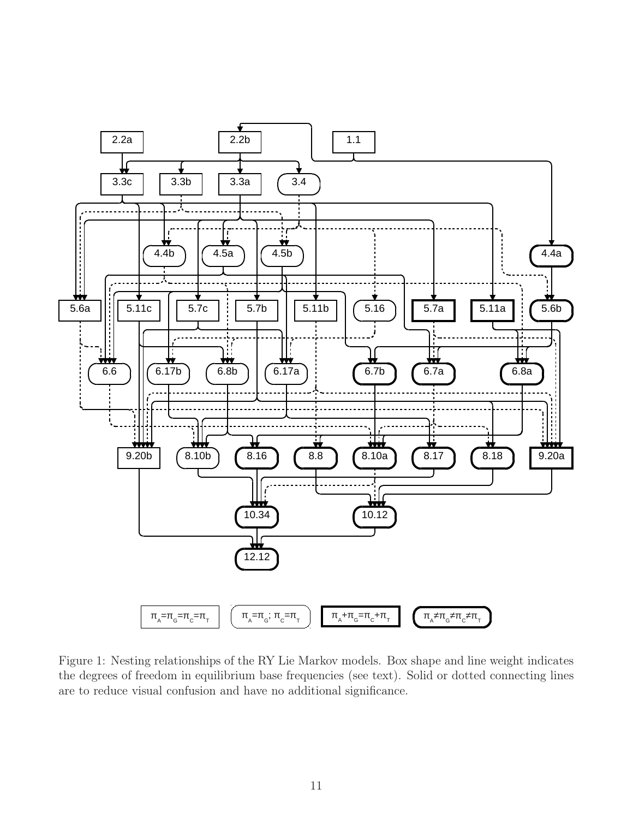

<span id="page-10-0"></span>Figure 1: Nesting relationships of the RY Lie Markov models. Box shape and line weight indicates the degrees of freedom in equilibrium base frequencies (see text). Solid or dotted connecting lines are to reduce visual confusion and have no additional significance.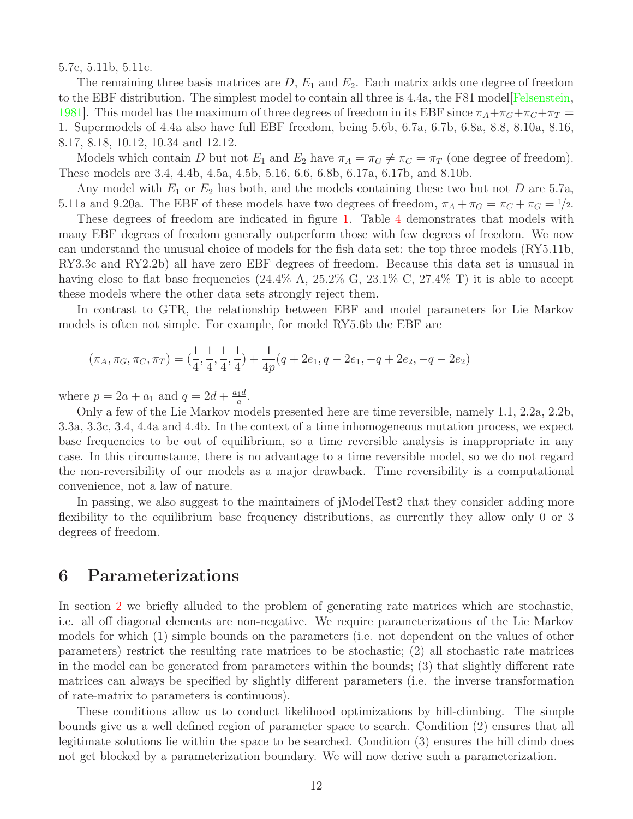5.7c, 5.11b, 5.11c.

The remaining three basis matrices are  $D, E_1$  and  $E_2$ . Each matrix adds one degree of freedom to the EBF distribution. The simplest model to contain all three is 4.4a, the F81 model Felsenstein, [1981](#page-17-0)]. This model has the maximum of three degrees of freedom in its EBF since  $\pi_A + \pi_G + \pi_C + \pi_T =$ 1. Supermodels of 4.4a also have full EBF freedom, being 5.6b, 6.7a, 6.7b, 6.8a, 8.8, 8.10a, 8.16, 8.17, 8.18, 10.12, 10.34 and 12.12.

Models which contain D but not  $E_1$  and  $E_2$  have  $\pi_A = \pi_G \neq \pi_C = \pi_T$  (one degree of freedom). These models are 3.4, 4.4b, 4.5a, 4.5b, 5.16, 6.6, 6.8b, 6.17a, 6.17b, and 8.10b.

Any model with  $E_1$  or  $E_2$  has both, and the models containing these two but not D are 5.7a, 5.11a and 9.20a. The EBF of these models have two degrees of freedom,  $\pi_A + \pi_G = \pi_C + \pi_G = 1/2$ .

These degrees of freedom are indicated in figure [1.](#page-10-0) Table [4](#page-8-0) demonstrates that models with many EBF degrees of freedom generally outperform those with few degrees of freedom. We now can understand the unusual choice of models for the fish data set: the top three models (RY5.11b, RY3.3c and RY2.2b) all have zero EBF degrees of freedom. Because this data set is unusual in having close to flat base frequencies  $(24.4\% \text{ A}, 25.2\% \text{ G}, 23.1\% \text{ C}, 27.4\% \text{ T})$  it is able to accept these models where the other data sets strongly reject them.

In contrast to GTR, the relationship between EBF and model parameters for Lie Markov models is often not simple. For example, for model RY5.6b the EBF are

$$
(\pi_A, \pi_G, \pi_C, \pi_T) = (\frac{1}{4}, \frac{1}{4}, \frac{1}{4}, \frac{1}{4}) + \frac{1}{4p}(q + 2e_1, q - 2e_1, -q + 2e_2, -q - 2e_2)
$$

where  $p = 2a + a_1$  and  $q = 2d + \frac{a_1 d}{a}$  $\frac{1}{a}$ .

Only a few of the Lie Markov models presented here are time reversible, namely 1.1, 2.2a, 2.2b, 3.3a, 3.3c, 3.4, 4.4a and 4.4b. In the context of a time inhomogeneous mutation process, we expect base frequencies to be out of equilibrium, so a time reversible analysis is inappropriate in any case. In this circumstance, there is no advantage to a time reversible model, so we do not regard the non-reversibility of our models as a major drawback. Time reversibility is a computational convenience, not a law of nature.

In passing, we also suggest to the maintainers of jModelTest2 that they consider adding more flexibility to the equilibrium base frequency distributions, as currently they allow only 0 or 3 degrees of freedom.

### <span id="page-11-0"></span>6 Parameterizations

In section [2](#page-2-0) we briefly alluded to the problem of generating rate matrices which are stochastic, i.e. all off diagonal elements are non-negative. We require parameterizations of the Lie Markov models for which (1) simple bounds on the parameters (i.e. not dependent on the values of other parameters) restrict the resulting rate matrices to be stochastic; (2) all stochastic rate matrices in the model can be generated from parameters within the bounds; (3) that slightly different rate matrices can always be specified by slightly different parameters (i.e. the inverse transformation of rate-matrix to parameters is continuous).

These conditions allow us to conduct likelihood optimizations by hill-climbing. The simple bounds give us a well defined region of parameter space to search. Condition (2) ensures that all legitimate solutions lie within the space to be searched. Condition (3) ensures the hill climb does not get blocked by a parameterization boundary. We will now derive such a parameterization.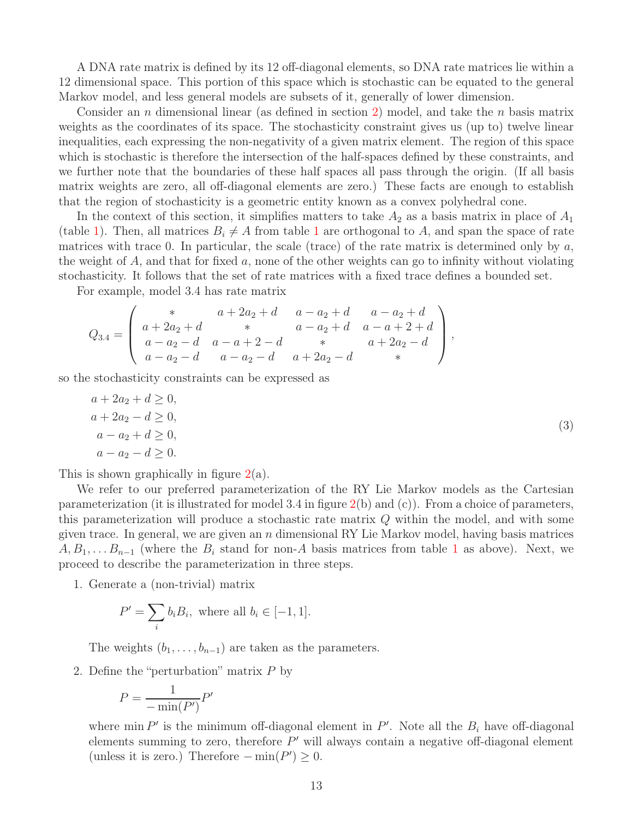A DNA rate matrix is defined by its 12 off-diagonal elements, so DNA rate matrices lie within a 12 dimensional space. This portion of this space which is stochastic can be equated to the general Markov model, and less general models are subsets of it, generally of lower dimension.

Consider an n dimensional linear (as defined in section [2\)](#page-2-0) model, and take the n basis matrix weights as the coordinates of its space. The stochasticity constraint gives us (up to) twelve linear inequalities, each expressing the non-negativity of a given matrix element. The region of this space which is stochastic is therefore the intersection of the half-spaces defined by these constraints, and we further note that the boundaries of these half spaces all pass through the origin. (If all basis matrix weights are zero, all off-diagonal elements are zero.) These facts are enough to establish that the region of stochasticity is a geometric entity known as a convex polyhedral cone.

In the context of this section, it simplifies matters to take  $A_2$  as a basis matrix in place of  $A_1$ (table [1\)](#page-4-0). Then, all matrices  $B_i \neq A$  from table [1](#page-4-0) are orthogonal to A, and span the space of rate matrices with trace 0. In particular, the scale (trace) of the rate matrix is determined only by  $a$ , the weight of  $A$ , and that for fixed  $a$ , none of the other weights can go to infinity without violating stochasticity. It follows that the set of rate matrices with a fixed trace defines a bounded set.

For example, model 3.4 has rate matrix

$$
Q_{3.4} = \left(\begin{array}{cccccc} * & a + 2a_2 + d & a - a_2 + d & a - a_2 + d \\ a + 2a_2 + d & * & a - a_2 + d & a - a + 2 + d \\ a - a_2 - d & a - a + 2 - d & * & a + 2a_2 - d \\ a - a_2 - d & a - a_2 - d & a + 2a_2 - d & * \end{array}\right),
$$

so the stochasticity constraints can be expressed as

<span id="page-12-0"></span>
$$
a + 2a2 + d \ge 0,
$$
  
\n
$$
a + 2a2 - d \ge 0,
$$
  
\n
$$
a - a2 + d \ge 0,
$$
  
\n
$$
a - a2 - d \ge 0.
$$
\n(3)

This is shown graphically in figure [2\(](#page-13-0)a).

We refer to our preferred parameterization of the RY Lie Markov models as the Cartesian parameterization (it is illustrated for model 3.4 in figure [2\(](#page-13-0)b) and (c)). From a choice of parameters, this parameterization will produce a stochastic rate matrix Q within the model, and with some given trace. In general, we are given an  $n$  dimensional RY Lie Markov model, having basis matrices  $A, B_1, \ldots, B_{n-1}$  $A, B_1, \ldots, B_{n-1}$  $A, B_1, \ldots, B_{n-1}$  (where the  $B_i$  stand for non-A basis matrices from table 1 as above). Next, we proceed to describe the parameterization in three steps.

1. Generate a (non-trivial) matrix

$$
P' = \sum_{i} b_i B_i
$$
, where all  $b_i \in [-1, 1]$ .

The weights  $(b_1, \ldots, b_{n-1})$  are taken as the parameters.

2. Define the "perturbation" matrix P by

$$
P = \frac{1}{-\min(P')}P'
$$

where min  $P'$  is the minimum off-diagonal element in  $P'$ . Note all the  $B_i$  have off-diagonal elements summing to zero, therefore  $P'$  will always contain a negative off-diagonal element (unless it is zero.) Therefore  $-\min(P') \geq 0$ .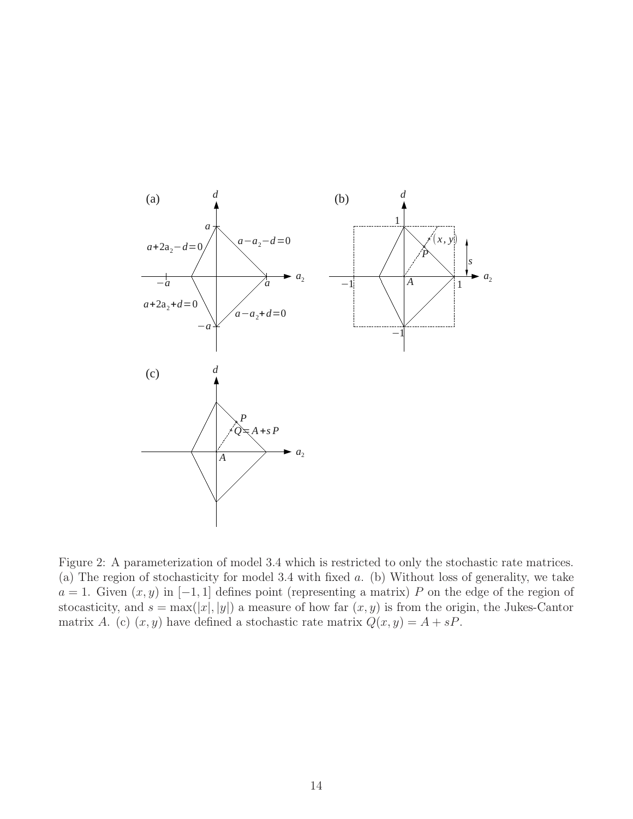

<span id="page-13-0"></span>Figure 2: A parameterization of model 3.4 which is restricted to only the stochastic rate matrices. (a) The region of stochasticity for model 3.4 with fixed a. (b) Without loss of generality, we take  $a = 1$ . Given  $(x, y)$  in  $[-1, 1]$  defines point (representing a matrix) P on the edge of the region of stocasticity, and  $s = \max(|x|, |y|)$  a measure of how far  $(x, y)$  is from the origin, the Jukes-Cantor matrix A. (c)  $(x, y)$  have defined a stochastic rate matrix  $Q(x, y) = A + sP$ .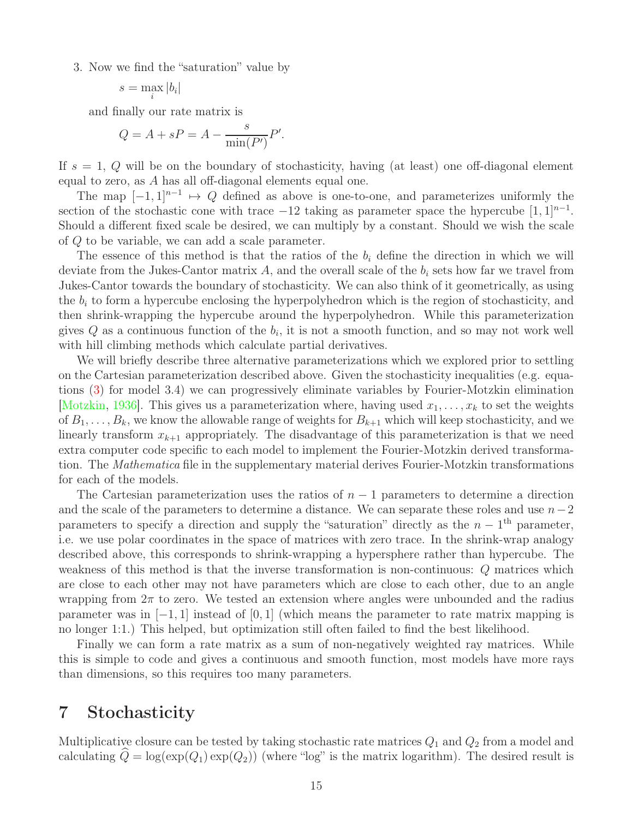3. Now we find the "saturation" value by

$$
s = \max_i |b_i|
$$

and finally our rate matrix is

$$
Q = A + sP = A - \frac{s}{\min(P')}P'.
$$

If  $s = 1$ , Q will be on the boundary of stochasticity, having (at least) one off-diagonal element equal to zero, as A has all off-diagonal elements equal one.

The map  $[-1,1]^{n-1} \mapsto Q$  defined as above is one-to-one, and parameterizes uniformly the section of the stochastic cone with trace  $-12$  taking as parameter space the hypercube  $[1, 1]^{n-1}$ . Should a different fixed scale be desired, we can multiply by a constant. Should we wish the scale of Q to be variable, we can add a scale parameter.

The essence of this method is that the ratios of the  $b_i$  define the direction in which we will deviate from the Jukes-Cantor matrix A, and the overall scale of the  $b_i$  sets how far we travel from Jukes-Cantor towards the boundary of stochasticity. We can also think of it geometrically, as using the  $b_i$  to form a hypercube enclosing the hyperpolyhedron which is the region of stochasticity, and then shrink-wrapping the hypercube around the hyperpolyhedron. While this parameterization gives Q as a continuous function of the  $b_i$ , it is not a smooth function, and so may not work well with hill climbing methods which calculate partial derivatives.

We will briefly describe three alternative parameterizations which we explored prior to settling on the Cartesian parameterization described above. Given the stochasticity inequalities (e.g. equations [\(3\)](#page-12-0) for model 3.4) we can progressively eliminate variables by Fourier-Motzkin elimination Motzkin, [1936](#page-18-14). This gives us a parameterization where, having used  $x_1, \ldots, x_k$  to set the weights of  $B_1, \ldots, B_k$ , we know the allowable range of weights for  $B_{k+1}$  which will keep stochasticity, and we linearly transform  $x_{k+1}$  appropriately. The disadvantage of this parameterization is that we need extra computer code specific to each model to implement the Fourier-Motzkin derived transformation. The *Mathematica* file in the supplementary material derives Fourier-Motzkin transformations for each of the models.

The Cartesian parameterization uses the ratios of  $n-1$  parameters to determine a direction and the scale of the parameters to determine a distance. We can separate these roles and use  $n-2$ parameters to specify a direction and supply the "saturation" directly as the  $n-1$ <sup>th</sup> parameter, i.e. we use polar coordinates in the space of matrices with zero trace. In the shrink-wrap analogy described above, this corresponds to shrink-wrapping a hypersphere rather than hypercube. The weakness of this method is that the inverse transformation is non-continuous: Q matrices which are close to each other may not have parameters which are close to each other, due to an angle wrapping from  $2\pi$  to zero. We tested an extension where angles were unbounded and the radius parameter was in  $[-1, 1]$  instead of  $[0, 1]$  (which means the parameter to rate matrix mapping is no longer 1:1.) This helped, but optimization still often failed to find the best likelihood.

Finally we can form a rate matrix as a sum of non-negatively weighted ray matrices. While this is simple to code and gives a continuous and smooth function, most models have more rays than dimensions, so this requires too many parameters.

### <span id="page-14-0"></span>7 Stochasticity

Multiplicative closure can be tested by taking stochastic rate matrices  $Q_1$  and  $Q_2$  from a model and calculating  $\widehat{Q} = \log(\exp(Q_1) \exp(Q_2))$  (where "log" is the matrix logarithm). The desired result is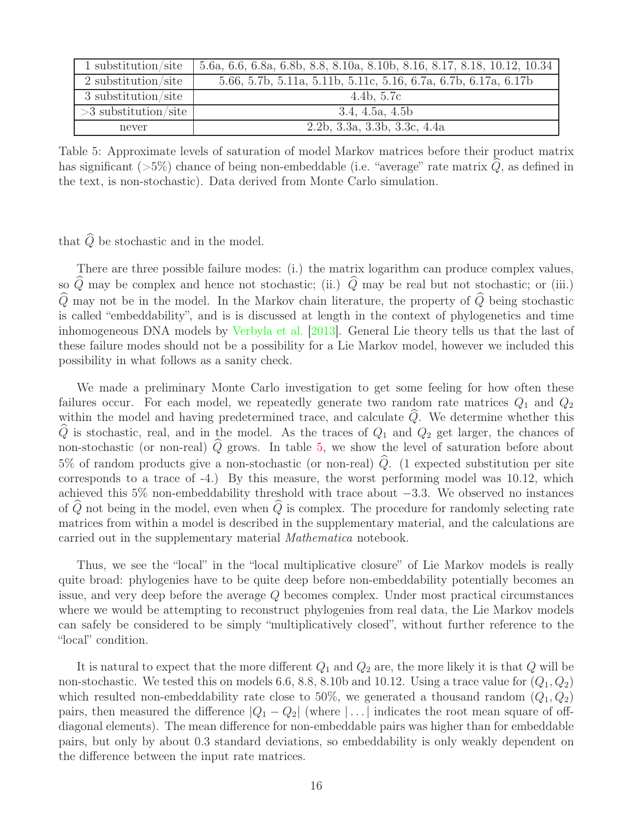| 1 substitution/site    | 5.6a, 6.6, 6.8a, 6.8b, 8.8, 8.10a, 8.10b, 8.16, 8.17, 8.18, 10.12, 10.34 |
|------------------------|--------------------------------------------------------------------------|
| 2 substitution/site    | 5.66, 5.7b, 5.11a, 5.11b, 5.11c, 5.16, 6.7a, 6.7b, 6.17a, 6.17b          |
| 3 substitution/site    | 4.4b, $5.7c$                                                             |
| $>3$ substitution/site | 3.4, 4.5a, 4.5b                                                          |
| never                  | 2.2b, 3.3a, 3.3b, 3.3c, 4.4a                                             |

<span id="page-15-0"></span>Table 5: Approximate levels of saturation of model Markov matrices before their product matrix has significant ( $>5\%$ ) chance of being non-embeddable (i.e. "average" rate matrix Q, as defined in the text, is non-stochastic). Data derived from Monte Carlo simulation.

that  $\widehat{Q}$  be stochastic and in the model.

There are three possible failure modes: (i.) the matrix logarithm can produce complex values, so  $\widehat{Q}$  may be complex and hence not stochastic; (ii.)  $\widehat{Q}$  may be real but not stochastic; or (iii.)  $\widehat{Q}$  may not be in the model. In the Markov chain literature, the property of  $\widehat{Q}$  being stochastic is called "embeddability", and is is discussed at length in the context of phylogenetics and time inhomogeneous DNA models by [Verbyla et al.](#page-19-4) [\[2013\]](#page-19-4). General Lie theory tells us that the last of these failure modes should not be a possibility for a Lie Markov model, however we included this possibility in what follows as a sanity check.

We made a preliminary Monte Carlo investigation to get some feeling for how often these failures occur. For each model, we repeatedly generate two random rate matrices  $Q_1$  and  $Q_2$ within the model and having predetermined trace, and calculate  $\widehat{Q}$ . We determine whether this  $\widehat{Q}$  is stochastic, real, and in the model. As the traces of  $Q_1$  and  $Q_2$  get larger, the chances of non-stochastic (or non-real)  $\hat{Q}$  grows. In table [5,](#page-15-0) we show the level of saturation before about  $5\%$  of random products give a non-stochastic (or non-real)  $\hat{Q}$ . (1 expected substitution per site corresponds to a trace of -4.) By this measure, the worst performing model was 10.12, which achieved this 5% non-embeddability threshold with trace about −3.3. We observed no instances of  $\widehat{Q}$  not being in the model, even when  $\widehat{Q}$  is complex. The procedure for randomly selecting rate matrices from within a model is described in the supplementary material, and the calculations are carried out in the supplementary material Mathematica notebook.

Thus, we see the "local" in the "local multiplicative closure" of Lie Markov models is really quite broad: phylogenies have to be quite deep before non-embeddability potentially becomes an issue, and very deep before the average Q becomes complex. Under most practical circumstances where we would be attempting to reconstruct phylogenies from real data, the Lie Markov models can safely be considered to be simply "multiplicatively closed", without further reference to the "local" condition.

It is natural to expect that the more different  $Q_1$  and  $Q_2$  are, the more likely it is that  $Q$  will be non-stochastic. We tested this on models 6.6, 8.8, 8.10b and 10.12. Using a trace value for  $(Q_1, Q_2)$ which resulted non-embeddability rate close to 50%, we generated a thousand random  $(Q_1, Q_2)$ pairs, then measured the difference  $|Q_1 - Q_2|$  (where  $|\dots|$  indicates the root mean square of offdiagonal elements). The mean difference for non-embeddable pairs was higher than for embeddable pairs, but only by about 0.3 standard deviations, so embeddability is only weakly dependent on the difference between the input rate matrices.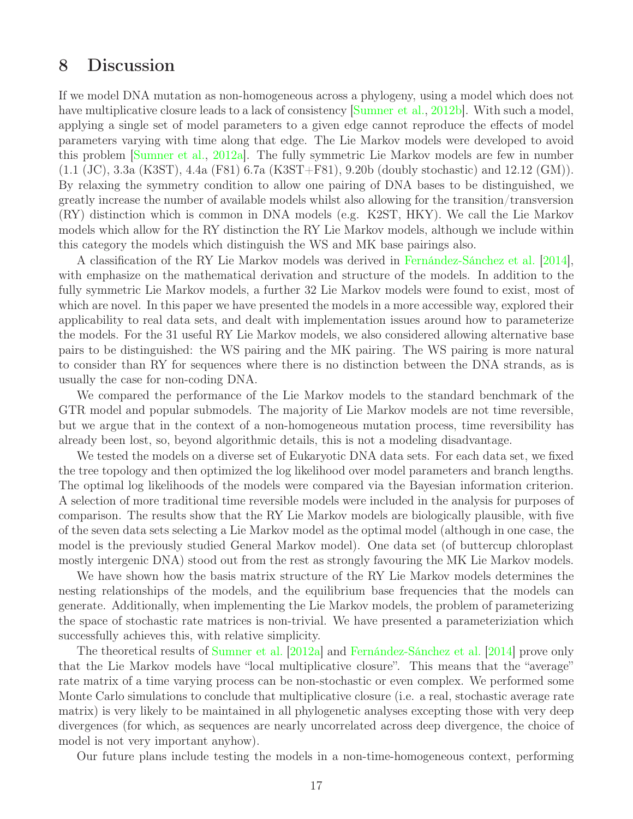### 8 Discussion

If we model DNA mutation as non-homogeneous across a phylogeny, using a model which does not have multiplicative closure leads to a lack of consistency [\[Sumner et al.,](#page-19-0) [2012b\]](#page-19-0). With such a model, applying a single set of model parameters to a given edge cannot reproduce the effects of model parameters varying with time along that edge. The Lie Markov models were developed to avoid this problem [\[Sumner et al.](#page-18-0), [2012a](#page-18-0)]. The fully symmetric Lie Markov models are few in number (1.1 (JC), 3.3a (K3ST), 4.4a (F81) 6.7a (K3ST+F81), 9.20b (doubly stochastic) and 12.12 (GM)). By relaxing the symmetry condition to allow one pairing of DNA bases to be distinguished, we greatly increase the number of available models whilst also allowing for the transition/transversion (RY) distinction which is common in DNA models (e.g. K2ST, HKY). We call the Lie Markov models which allow for the RY distinction the RY Lie Markov models, although we include within this category the models which distinguish the WS and MK base pairings also.

A classification of the RY Lie Markov models was derived in [Fernández-Sánchez et al.](#page-17-3) [\[2014\]](#page-17-3), with emphasize on the mathematical derivation and structure of the models. In addition to the fully symmetric Lie Markov models, a further 32 Lie Markov models were found to exist, most of which are novel. In this paper we have presented the models in a more accessible way, explored their applicability to real data sets, and dealt with implementation issues around how to parameterize the models. For the 31 useful RY Lie Markov models, we also considered allowing alternative base pairs to be distinguished: the WS pairing and the MK pairing. The WS pairing is more natural to consider than RY for sequences where there is no distinction between the DNA strands, as is usually the case for non-coding DNA.

We compared the performance of the Lie Markov models to the standard benchmark of the GTR model and popular submodels. The majority of Lie Markov models are not time reversible, but we argue that in the context of a non-homogeneous mutation process, time reversibility has already been lost, so, beyond algorithmic details, this is not a modeling disadvantage.

We tested the models on a diverse set of Eukaryotic DNA data sets. For each data set, we fixed the tree topology and then optimized the log likelihood over model parameters and branch lengths. The optimal log likelihoods of the models were compared via the Bayesian information criterion. A selection of more traditional time reversible models were included in the analysis for purposes of comparison. The results show that the RY Lie Markov models are biologically plausible, with five of the seven data sets selecting a Lie Markov model as the optimal model (although in one case, the model is the previously studied General Markov model). One data set (of buttercup chloroplast mostly intergenic DNA) stood out from the rest as strongly favouring the MK Lie Markov models.

We have shown how the basis matrix structure of the RY Lie Markov models determines the nesting relationships of the models, and the equilibrium base frequencies that the models can generate. Additionally, when implementing the Lie Markov models, the problem of parameterizing the space of stochastic rate matrices is non-trivial. We have presented a parameteriziation which successfully achieves this, with relative simplicity.

The theoretical results of [Sumner et al.](#page-18-0) [\[2012a\]](#page-18-0) and [Fernández-Sánchez et al.](#page-17-3) [\[2014\]](#page-17-3) prove only that the Lie Markov models have "local multiplicative closure". This means that the "average" rate matrix of a time varying process can be non-stochastic or even complex. We performed some Monte Carlo simulations to conclude that multiplicative closure (i.e. a real, stochastic average rate matrix) is very likely to be maintained in all phylogenetic analyses excepting those with very deep divergences (for which, as sequences are nearly uncorrelated across deep divergence, the choice of model is not very important anyhow).

Our future plans include testing the models in a non-time-homogeneous context, performing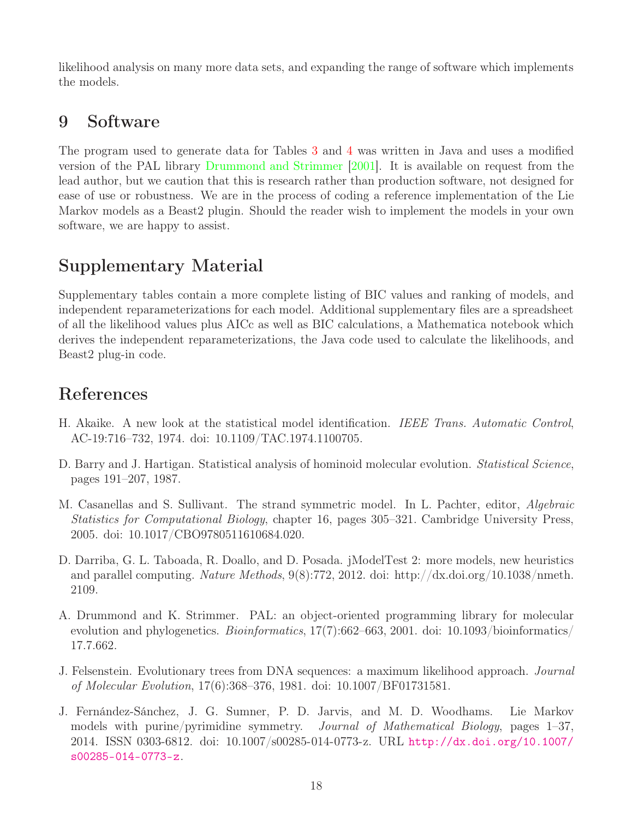likelihood analysis on many more data sets, and expanding the range of software which implements the models.

# 9 Software

The program used to generate data for Tables [3](#page-7-0) and [4](#page-8-0) was written in Java and uses a modified version of the PAL library [Drummond and Strimmer](#page-17-6) [\[2001](#page-17-6)]. It is available on request from the lead author, but we caution that this is research rather than production software, not designed for ease of use or robustness. We are in the process of coding a reference implementation of the Lie Markov models as a Beast2 plugin. Should the reader wish to implement the models in your own software, we are happy to assist.

# Supplementary Material

Supplementary tables contain a more complete listing of BIC values and ranking of models, and independent reparameterizations for each model. Additional supplementary files are a spreadsheet of all the likelihood values plus AICc as well as BIC calculations, a Mathematica notebook which derives the independent reparameterizations, the Java code used to calculate the likelihoods, and Beast2 plug-in code.

## References

- <span id="page-17-2"></span>H. Akaike. A new look at the statistical model identification. IEEE Trans. Automatic Control, AC-19:716–732, 1974. doi: 10.1109/TAC.1974.1100705.
- <span id="page-17-1"></span>D. Barry and J. Hartigan. Statistical analysis of hominoid molecular evolution. *Statistical Science*, pages 191–207, 1987.
- <span id="page-17-5"></span>M. Casanellas and S. Sullivant. The strand symmetric model. In L. Pachter, editor, Algebraic Statistics for Computational Biology, chapter 16, pages 305–321. Cambridge University Press, 2005. doi: 10.1017/CBO9780511610684.020.
- <span id="page-17-4"></span>D. Darriba, G. L. Taboada, R. Doallo, and D. Posada. jModelTest 2: more models, new heuristics and parallel computing. Nature Methods, 9(8):772, 2012. doi: http://dx.doi.org/10.1038/nmeth. 2109.
- <span id="page-17-6"></span>A. Drummond and K. Strimmer. PAL: an object-oriented programming library for molecular evolution and phylogenetics. *Bioinformatics*, 17(7):662–663, 2001. doi: 10.1093/bioinformatics/ 17.7.662.
- <span id="page-17-0"></span>J. Felsenstein. Evolutionary trees from DNA sequences: a maximum likelihood approach. Journal of Molecular Evolution, 17(6):368–376, 1981. doi: 10.1007/BF01731581.
- <span id="page-17-3"></span>J. Fernández-Sánchez, J. G. Sumner, P. D. Jarvis, and M. D. Woodhams. Lie Markov models with purine/pyrimidine symmetry. Journal of Mathematical Biology, pages 1–37, 2014. ISSN 0303-6812. doi: 10.1007/s00285-014-0773-z. URL [http://dx.doi.org/10.1007/](http://dx.doi.org/10.1007/s00285-014-0773-z) [s00285-014-0773-z](http://dx.doi.org/10.1007/s00285-014-0773-z).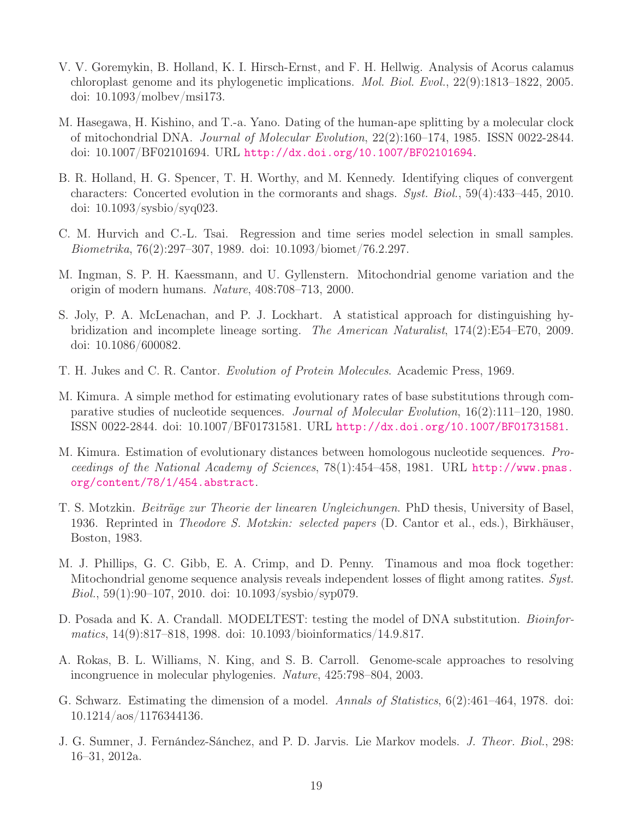- <span id="page-18-7"></span>V. V. Goremykin, B. Holland, K. I. Hirsch-Ernst, and F. H. Hellwig. Analysis of Acorus calamus chloroplast genome and its phylogenetic implications. Mol. Biol. Evol., 22(9):1813–1822, 2005. doi: 10.1093/molbev/msi173.
- <span id="page-18-4"></span>M. Hasegawa, H. Kishino, and T.-a. Yano. Dating of the human-ape splitting by a molecular clock of mitochondrial DNA. Journal of Molecular Evolution, 22(2):160–174, 1985. ISSN 0022-2844. doi: 10.1007/BF02101694. URL <http://dx.doi.org/10.1007/BF02101694>.
- <span id="page-18-8"></span>B. R. Holland, H. G. Spencer, T. H. Worthy, and M. Kennedy. Identifying cliques of convergent characters: Concerted evolution in the cormorants and shags. Syst. Biol., 59(4):433–445, 2010. doi: 10.1093/sysbio/syq023.
- <span id="page-18-13"></span>C. M. Hurvich and C.-L. Tsai. Regression and time series model selection in small samples. Biometrika, 76(2):297–307, 1989. doi: 10.1093/biomet/76.2.297.
- <span id="page-18-6"></span>M. Ingman, S. P. H. Kaessmann, and U. Gyllenstern. Mitochondrial genome variation and the origin of modern humans. Nature, 408:708–713, 2000.
- <span id="page-18-10"></span>S. Joly, P. A. McLenachan, and P. J. Lockhart. A statistical approach for distinguishing hybridization and incomplete lineage sorting. The American Naturalist, 174(2):E54–E70, 2009. doi: 10.1086/600082.
- <span id="page-18-1"></span>T. H. Jukes and C. R. Cantor. Evolution of Protein Molecules. Academic Press, 1969.
- <span id="page-18-3"></span>M. Kimura. A simple method for estimating evolutionary rates of base substitutions through comparative studies of nucleotide sequences. Journal of Molecular Evolution, 16(2):111–120, 1980. ISSN 0022-2844. doi: 10.1007/BF01731581. URL <http://dx.doi.org/10.1007/BF01731581>.
- <span id="page-18-2"></span>M. Kimura. Estimation of evolutionary distances between homologous nucleotide sequences. Proceedings of the National Academy of Sciences, 78(1):454–458, 1981. URL [http://www.pnas.](http://www.pnas.org/content/78/1/454.abstract) [org/content/78/1/454.abstract](http://www.pnas.org/content/78/1/454.abstract).
- <span id="page-18-14"></span>T. S. Motzkin. Beiträge zur Theorie der linearen Ungleichungen. PhD thesis, University of Basel, 1936. Reprinted in Theodore S. Motzkin: selected papers (D. Cantor et al., eds.), Birkhäuser, Boston, 1983.
- <span id="page-18-11"></span>M. J. Phillips, G. C. Gibb, E. A. Crimp, and D. Penny. Tinamous and moa flock together: Mitochondrial genome sequence analysis reveals independent losses of flight among ratites. Syst. Biol., 59(1):90–107, 2010. doi: 10.1093/sysbio/syp079.
- <span id="page-18-5"></span>D. Posada and K. A. Crandall. MODELTEST: testing the model of DNA substitution. *Bioinfor*matics, 14(9):817–818, 1998. doi: 10.1093/bioinformatics/14.9.817.
- <span id="page-18-9"></span>A. Rokas, B. L. Williams, N. King, and S. B. Carroll. Genome-scale approaches to resolving incongruence in molecular phylogenies. Nature, 425:798–804, 2003.
- <span id="page-18-12"></span>G. Schwarz. Estimating the dimension of a model. Annals of Statistics, 6(2):461–464, 1978. doi: 10.1214/aos/1176344136.
- <span id="page-18-0"></span>J. G. Sumner, J. Fernández-Sánchez, and P. D. Jarvis. Lie Markov models. J. Theor. Biol., 298: 16–31, 2012a.